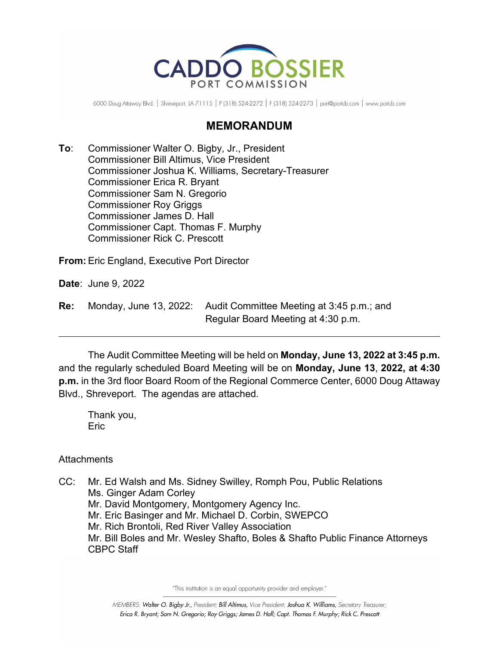

6000 Doug Attaway Blvd. | Shreveport, LA 71115 | P (318) 524-2272 | F (318) 524-2273 | port@portcb.com | www.portcb.com

### **MEMORANDUM**

**To**: Commissioner Walter O. Bigby, Jr., President Commissioner Bill Altimus, Vice President Commissioner Joshua K. Williams, Secretary-Treasurer Commissioner Erica R. Bryant Commissioner Sam N. Gregorio Commissioner Roy Griggs Commissioner James D. Hall Commissioner Capt. Thomas F. Murphy Commissioner Rick C. Prescott

**From:** Eric England, Executive Port Director

**Date**: June 9, 2022

| Re: | Monday, June 13, 2022: Audit Committee Meeting at 3:45 p.m.; and |
|-----|------------------------------------------------------------------|
|     | Regular Board Meeting at 4:30 p.m.                               |

The Audit Committee Meeting will be held on **Monday, June 13, 2022 at 3:45 p.m.** and the regularly scheduled Board Meeting will be on **Monday, June 13**, **2022, at 4:30 p.m.** in the 3rd floor Board Room of the Regional Commerce Center, 6000 Doug Attaway Blvd., Shreveport. The agendas are attached.

Thank you, Eric

**Attachments** 

CC: Mr. Ed Walsh and Ms. Sidney Swilley, Romph Pou, Public Relations Ms. Ginger Adam Corley Mr. David Montgomery, Montgomery Agency Inc. Mr. Eric Basinger and Mr. Michael D. Corbin, SWEPCO Mr. Rich Brontoli, Red River Valley Association Mr. Bill Boles and Mr. Wesley Shafto, Boles & Shafto Public Finance Attorneys CBPC Staff

"This institution is an equal opportunity provider and employer."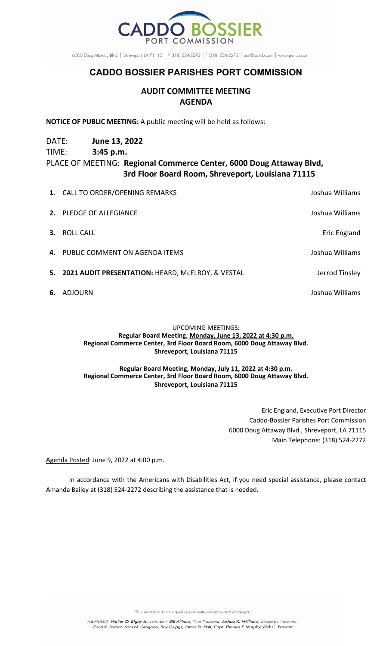

6000 Doug Attaway Blvd. | Shreveport, LA 71115 | P (318) 524-2272 | F (318) 524-2273 | port@portcb.com | www.portcb.com

## **CADDO BOSSIER PARISHES PORT COMMISSION**

### **AUDIT COMMITTEE MEETING AGENDA**

**NOTICE OF PUBLIC MEETING:** A public meeting will be held as follows:

DATE: **June 13, 2022**

TIME: **3:45 p.m.**

# PLACE OF MEETING: **Regional Commerce Center, 6000 Doug Attaway Blvd, 3rd Floor Board Room, Shreveport, Louisiana 71115**

| 6. | ADJOURN                                              | Joshua Williams |
|----|------------------------------------------------------|-----------------|
|    | 5. 2021 AUDIT PRESENTATION: HEARD, MCELROY, & VESTAL | Jerrod Tinsley  |
|    | 4. PUBLIC COMMENT ON AGENDA ITEMS                    | Joshua Williams |
| 3. | ROLL CALL                                            | Eric England    |
|    | 2. PLEDGE OF ALLEGIANCE                              | Joshua Williams |
|    | 1. CALL TO ORDER/OPENING REMARKS                     | Joshua Williams |

#### UPCOMING MEETINGS: **Regular Board Meeting, Monday, June 13, 2022 at 4:30 p.m. Regional Commerce Center, 3rd Floor Board Room, 6000 Doug Attaway Blvd. Shreveport, Louisiana 71115**

#### **Regular Board Meeting, Monday, July 11, 2022 at 4:30 p.m. Regional Commerce Center, 3rd Floor Board Room, 6000 Doug Attaway Blvd. Shreveport, Louisiana 71115**

Eric England, Executive Port Director Caddo-Bossier Parishes Port Commission 6000 Doug Attaway Blvd., Shreveport, LA 71115 Main Telephone: (318) 524-2272

Agenda Posted: June 9, 2022 at 4:00 p.m.

In accordance with the Americans with Disabilities Act, if you need special assistance, please contact Amanda Bailey at (318) 524-2272 describing the assistance that is needed.

"This institution is an equal opportunity provider and employer."

MEMBERS: Walter O. Bigby Jr., President; Bill Altimus, Vice President; Joshua K. Williams, Secretary Treasurer;<br>Erica R. Bryant; Sam N. Gregorio; Roy Griggs; James D. Hall; Capt. Thomas F. Murphy; Rick C. Prescott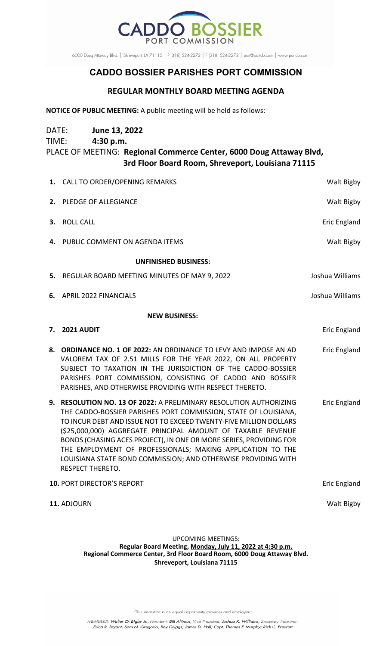

6000 Doug Attaway Blvd. | Shreveport, LA 71115 | P (318) 524-2272 | F (318) 524-2273 | port@portcb.com | www.portcb.com

# **CADDO BOSSIER PARISHES PORT COMMISSION**

### **REGULAR MONTHLY BOARD MEETING AGENDA**

**NOTICE OF PUBLIC MEETING:** A public meeting will be held as follows:

| DATE: | June 13, 2022                                                       |                   |
|-------|---------------------------------------------------------------------|-------------------|
| TIME: | 4:30 p.m.                                                           |                   |
|       | PLACE OF MEETING: Regional Commerce Center, 6000 Doug Attaway Blvd, |                   |
|       | 3rd Floor Board Room, Shreveport, Louisiana 71115                   |                   |
|       | 1. CALL TO ORDER/OPENING REMARKS                                    | <b>Walt Bigby</b> |

|    | 2. PLEDGE OF ALLEGIANCE                                                                                                                                                                                                                                                                                                                                                                                                                                                                                    | Walt Bigby          |  |  |  |
|----|------------------------------------------------------------------------------------------------------------------------------------------------------------------------------------------------------------------------------------------------------------------------------------------------------------------------------------------------------------------------------------------------------------------------------------------------------------------------------------------------------------|---------------------|--|--|--|
| З. | <b>ROLL CALL</b>                                                                                                                                                                                                                                                                                                                                                                                                                                                                                           | <b>Eric England</b> |  |  |  |
| 4. | PUBLIC COMMENT ON AGENDA ITEMS                                                                                                                                                                                                                                                                                                                                                                                                                                                                             | Walt Bigby          |  |  |  |
|    | <b>UNFINISHED BUSINESS:</b>                                                                                                                                                                                                                                                                                                                                                                                                                                                                                |                     |  |  |  |
| 5. | REGULAR BOARD MEETING MINUTES OF MAY 9, 2022                                                                                                                                                                                                                                                                                                                                                                                                                                                               | Joshua Williams     |  |  |  |
| 6. | <b>APRIL 2022 FINANCIALS</b>                                                                                                                                                                                                                                                                                                                                                                                                                                                                               | Joshua Williams     |  |  |  |
|    | <b>NEW BUSINESS:</b>                                                                                                                                                                                                                                                                                                                                                                                                                                                                                       |                     |  |  |  |
| 7. | 2021 AUDIT                                                                                                                                                                                                                                                                                                                                                                                                                                                                                                 | Eric England        |  |  |  |
|    | 8. ORDINANCE NO. 1 OF 2022: AN ORDINANCE TO LEVY AND IMPOSE AN AD<br>VALOREM TAX OF 2.51 MILLS FOR THE YEAR 2022, ON ALL PROPERTY<br>SUBJECT TO TAXATION IN THE JURISDICTION OF THE CADDO-BOSSIER<br>PARISHES PORT COMMISSION, CONSISTING OF CADDO AND BOSSIER<br>PARISHES, AND OTHERWISE PROVIDING WITH RESPECT THERETO.                                                                                                                                                                                  | <b>Eric England</b> |  |  |  |
|    | 9. RESOLUTION NO. 13 OF 2022: A PRELIMINARY RESOLUTION AUTHORIZING<br>THE CADDO-BOSSIER PARISHES PORT COMMISSION, STATE OF LOUISIANA,<br>TO INCUR DEBT AND ISSUE NOT TO EXCEED TWENTY-FIVE MILLION DOLLARS<br>(\$25,000,000) AGGREGATE PRINCIPAL AMOUNT OF TAXABLE REVENUE<br>BONDS (CHASING ACES PROJECT), IN ONE OR MORE SERIES, PROVIDING FOR<br>THE EMPLOYMENT OF PROFESSIONALS; MAKING APPLICATION TO THE<br>LOUISIANA STATE BOND COMMISSION; AND OTHERWISE PROVIDING WITH<br><b>RESPECT THERETO.</b> | <b>Eric England</b> |  |  |  |
|    | 10. PORT DIRECTOR'S REPORT                                                                                                                                                                                                                                                                                                                                                                                                                                                                                 | <b>Eric England</b> |  |  |  |
|    | 11. ADJOURN                                                                                                                                                                                                                                                                                                                                                                                                                                                                                                | Walt Bigby          |  |  |  |

UPCOMING MEETINGS: **Regular Board Meeting, Monday, July 11, 2022 at 4:30 p.m. Regional Commerce Center, 3rd Floor Board Room, 6000 Doug Attaway Blvd. Shreveport, Louisiana 71115**

"This institution is an equal opportunity provider and employer."